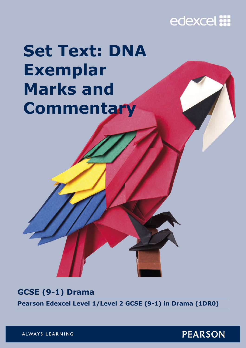## edexcel :::

# **Set Text: DNA Exemplar Marks and Commentary**

### **GCSE (9-1) Drama**

**Pearson Edexcel Level 1/Level 2 GCSE (9-1) in Drama (1DR0)** 

ALWAYS LEARNING

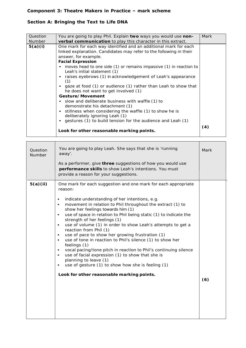#### **Component 3: Theatre Makers in Practice – mark scheme**

#### **Section A: Bringing the Text to Life** *DNA*

| Question<br>Number | You are going to play Phil. Explain two ways you would use non-<br>verbal communication to play this character in this extract.                                                                                                                                                                                                                                                                                                                                                                                                                                                                                                                                                                                                                                                                      | Mark |
|--------------------|------------------------------------------------------------------------------------------------------------------------------------------------------------------------------------------------------------------------------------------------------------------------------------------------------------------------------------------------------------------------------------------------------------------------------------------------------------------------------------------------------------------------------------------------------------------------------------------------------------------------------------------------------------------------------------------------------------------------------------------------------------------------------------------------------|------|
| 5(a)(i)            | One mark for each way identified and an additional mark for each<br>linked explanation. Candidates may refer to the following in their<br>answer, for example.<br><b>Facial Expression</b><br>moves head to one side (1) or remains impassive (1) in reaction to<br>Leah's initial statement (1)<br>raises eyebrows (1) in acknowledgement of Leah's appearance<br>(1)<br>gaze at food (1) or audience (1) rather than Leah to show that<br>he does not want to get involved (1)<br>Gesture/Movement<br>• slow and deliberate business with waffle (1) to<br>demonstrate his detachment (1)<br>stillness when considering the waffle (1) to show he is<br>deliberately ignoring Leah (1)<br>gestures (1) to build tension for the audience and Leah (1)<br>Look for other reasonable marking points. | (4)  |

| Question<br>Number | You are going to play Leah. She says that she is 'running<br>away'.<br>As a performer, give three suggestions of how you would use<br>performance skills to show Leah's intentions. You must<br>provide a reason for your suggestions.                                                                                                                                                                                                                                                                                                                                                                                                                                                                                                                                                                                                                                                                          | Mark |
|--------------------|-----------------------------------------------------------------------------------------------------------------------------------------------------------------------------------------------------------------------------------------------------------------------------------------------------------------------------------------------------------------------------------------------------------------------------------------------------------------------------------------------------------------------------------------------------------------------------------------------------------------------------------------------------------------------------------------------------------------------------------------------------------------------------------------------------------------------------------------------------------------------------------------------------------------|------|
| 5(a)(ii)           | One mark for each suggestion and one mark for each appropriate<br>reason:<br>indicate understanding of her intentions, e.g.<br>$\bullet$<br>movement in relation to Phil throughout the extract (1) to<br>$\bullet$<br>show her feelings towards him (1)<br>use of space in relation to Phil being static (1) to indicate the<br>$\bullet$<br>strength of her feelings (1)<br>use of volume (1) in order to show Leah's attempts to get a<br>$\bullet$<br>reaction from Phil (1)<br>use of pace to show her growing frustration (1)<br>$\bullet$<br>use of tone in reaction to Phil's silence (1) to show her<br>feelings (1)<br>vocal pacing/tone pitch in reaction to Phil's continuing silence<br>٠<br>use of facial expression (1) to show that she is<br>$\bullet$<br>planning to leave (1)<br>use of gesture (1) to show how she is feeling (1)<br>$\bullet$<br>Look for other reasonable marking points. | (6)  |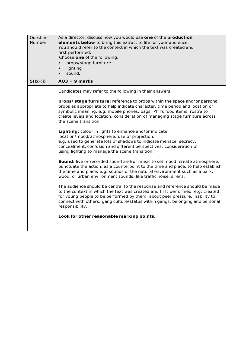| Question<br>Number | As a director, discuss how you would use one of the production<br>elements below to bring this extract to life for your audience.<br>You should refer to the context in which the text was created and<br>first performed.<br>Choose one of the following:<br>props/stage furniture<br>$\bullet$<br>lighting<br>sound.                           |
|--------------------|--------------------------------------------------------------------------------------------------------------------------------------------------------------------------------------------------------------------------------------------------------------------------------------------------------------------------------------------------|
| 5(b)(i)            | $AO3 = 9$ marks                                                                                                                                                                                                                                                                                                                                  |
|                    | Candidates may refer to the following in their answers:                                                                                                                                                                                                                                                                                          |
|                    | props/stage furniture: reference to props within the space and/or personal<br>props as appropriate to help indicate character, time period and location or<br>symbolic meaning, e.g. mobile phones, bags, Phil's food items, rostra to<br>create levels and location, consideration of managing stage furniture across<br>the scene transition.  |
|                    | Lighting: colour in lights to enhance and/or indicate<br>location/mood/atmosphere, use of projection,<br>e.g. used to generate lots of shadows to indicate menace, secrecy,<br>concealment, confusion and different perspectives, consideration of<br>using lighting to manage the scene transition.                                             |
|                    | Sound: live or recorded sound and/or music to set mood, create atmosphere,<br>punctuate the action, as a counterpoint to the time and place, to help establish<br>the time and place, e.g. sounds of the natural environment such as a park,<br>wood, or urban environment sounds, like traffic noise, sirens.                                   |
|                    | The audience should be central to the response and reference should be made<br>to the context in which the text was created and first performed, e.g. created<br>for young people to be performed by them, about peer pressure, inability to<br>connect with others, gang culture/status within gangs, belonging and personal<br>responsibility. |
|                    | Look for other reasonable marking points.                                                                                                                                                                                                                                                                                                        |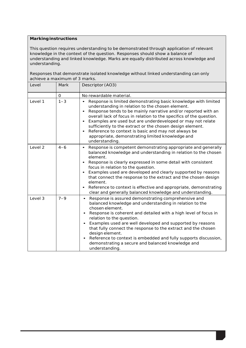#### **Marking instructions**

This question requires understanding to be demonstrated through application of relevant knowledge in the context of the question. Responses should show a balance of understanding and linked knowledge. Marks are equally distributed across knowledge and understanding.

Responses that demonstrate isolated knowledge without linked understanding can only achieve a maximum of 3 marks.

| Level              | Mark    | Descriptor (AO3)                                                                                                                                                                                                                                                                                                                                                                                                                                                                                                                                                    |
|--------------------|---------|---------------------------------------------------------------------------------------------------------------------------------------------------------------------------------------------------------------------------------------------------------------------------------------------------------------------------------------------------------------------------------------------------------------------------------------------------------------------------------------------------------------------------------------------------------------------|
|                    | O       | No rewardable material.                                                                                                                                                                                                                                                                                                                                                                                                                                                                                                                                             |
| Level 1            | $1 - 3$ | Response is limited demonstrating basic knowledge with limited<br>$\bullet$<br>understanding in relation to the chosen element.<br>Response tends to be mainly narrative and/or reported with an<br>overall lack of focus in relation to the specifics of the question.<br>Examples are used but are underdeveloped or may not relate<br>sufficiently to the extract or the chosen design element.<br>Reference to context is basic and may not always be<br>$\bullet$<br>appropriate, demonstrating limited knowledge and<br>understanding.                        |
| Level <sub>2</sub> | $4 - 6$ | Response is competent demonstrating appropriate and generally<br>$\bullet$<br>balanced knowledge and understanding in relation to the chosen<br>element.<br>Response is clearly expressed in some detail with consistent<br>focus in relation to the question.<br>Examples used are developed and clearly supported by reasons<br>that connect the response to the extract and the chosen design<br>element.<br>Reference to context is effective and appropriate, demonstrating<br>clear and generally balanced knowledge and understanding.                       |
| Level 3            | $7 - 9$ | Response is assured demonstrating comprehensive and<br>$\bullet$<br>balanced knowledge and understanding in relation to the<br>chosen element.<br>Response is coherent and detailed with a high level of focus in<br>relation to the question.<br>Examples used are well developed and supported by reasons<br>$\bullet$<br>that fully connect the response to the extract and the chosen<br>design element.<br>Reference to context is embedded and fully supports discussion,<br>$\bullet$<br>demonstrating a secure and balanced knowledge and<br>understanding. |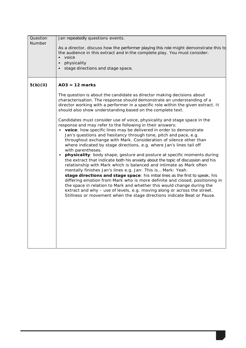| Question<br>Number | Jan repeatedly questions events.<br>As a director, discuss how the performer playing this role might demonstrate this to<br>the audience in this extract and in the complete play. You must consider:<br>voice<br>physicality<br>stage directions and stage space.                                                                                                                                                                                                                                                                                                                                                                                                                                                                                                                                                                                                                                                                                                                                                                                                                                                                                                                                                                                                                                                                                                                                                                                                                       |
|--------------------|------------------------------------------------------------------------------------------------------------------------------------------------------------------------------------------------------------------------------------------------------------------------------------------------------------------------------------------------------------------------------------------------------------------------------------------------------------------------------------------------------------------------------------------------------------------------------------------------------------------------------------------------------------------------------------------------------------------------------------------------------------------------------------------------------------------------------------------------------------------------------------------------------------------------------------------------------------------------------------------------------------------------------------------------------------------------------------------------------------------------------------------------------------------------------------------------------------------------------------------------------------------------------------------------------------------------------------------------------------------------------------------------------------------------------------------------------------------------------------------|
| 5(b)(ii)           | $AO3 = 12$ marks<br>The question is about the candidate as director making decisions about<br>characterisation. The response should demonstrate an understanding of a<br>director working with a performer in a specific role within the given extract. It<br>should also show understanding based on the complete text.<br>Candidates must consider use of voice, physicality and stage space in the<br>response and may refer to the following in their answers:<br>• voice: how specific lines may be delivered in order to demonstrate<br>Jan's questions and hesitancy through tone, pitch and pace, e.g.<br>throughout exchange with Mark. Consideration of silence other than<br>where indicated by stage directions, e.g. where Jan's lines tail off<br>with parentheses.<br>physicality: body shape, gesture and posture at specific moments during<br>the extract that indicate both his anxiety about the topic of discussion and his<br>relationship with Mark which is balanced and intimate as Mark often<br>mentally finishes Jan's lines e.g. Jan: This is Mark: Yeah.<br>stage directions and stage space: his initial lines as the first to speak, his<br>differing emotion from Mark who is more definite and closed, positioning in<br>the space in relation to Mark and whether this would change during the<br>extract and why - use of levels, e.g. moving along or across the street.<br>Stillness or movement when the stage directions indicate Beat or Pause. |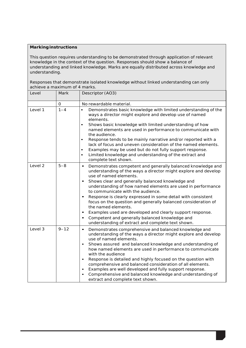#### **Marking instructions**

This question requires understanding to be demonstrated through application of relevant knowledge in the context of the question. Responses should show a balance of understanding and linked knowledge. Marks are equally distributed across knowledge and understanding.

Responses that demonstrate isolated knowledge without linked understanding can only achieve a maximum of 4 marks.

| Level   | Mark     | Descriptor (AO3)                                                                                                                                                                                                                                                                                                                                                                                                                                                                                                                                                                                                                                                                   |
|---------|----------|------------------------------------------------------------------------------------------------------------------------------------------------------------------------------------------------------------------------------------------------------------------------------------------------------------------------------------------------------------------------------------------------------------------------------------------------------------------------------------------------------------------------------------------------------------------------------------------------------------------------------------------------------------------------------------|
|         | 0        | No rewardable material.                                                                                                                                                                                                                                                                                                                                                                                                                                                                                                                                                                                                                                                            |
| Level 1 | $1 - 4$  | Demonstrates basic knowledge with limited understanding of the<br>$\bullet$<br>ways a director might explore and develop use of named<br>elements.<br>Shows basic knowledge with limited understanding of how<br>$\bullet$<br>named elements are used in performance to communicate with<br>the audience.<br>Response tends to be mainly narrative and/or reported with a<br>$\bullet$<br>lack of focus and uneven consideration of the named elements.<br>Examples may be used but do not fully support response.<br>$\bullet$<br>Limited knowledge and understanding of the extract and<br>$\bullet$<br>complete text shown.                                                     |
| Level 2 | $5 - 8$  | Demonstrates competent and generally balanced knowledge and<br>$\bullet$<br>understanding of the ways a director might explore and develop<br>use of named elements.<br>Shows clear and generally balanced knowledge and<br>$\bullet$<br>understanding of how named elements are used in performance<br>to communicate with the audience.<br>Response is clearly expressed in some detail with consistent<br>focus on the question and generally balanced consideration of<br>the named elements.<br>Examples used are developed and clearly support response.<br>Competent and generally balanced knowledge and<br>$\bullet$<br>understanding of extract and complete text shown. |
| Level 3 | $9 - 12$ | Demonstrates comprehensive and balanced knowledge and<br>$\bullet$<br>understanding of the ways a director might explore and develop<br>use of named elements.<br>Shows assured and balanced knowledge and understanding of<br>$\bullet$<br>how named elements are used in performance to communicate<br>with the audience<br>Response is detailed and highly focused on the question with<br>٠<br>comprehensive and balanced consideration of all elements.<br>Examples are well developed and fully support response.<br>Comprehensive and balanced knowledge and understanding of<br>extract and complete text shown.                                                           |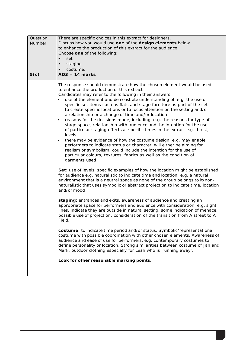| Question<br>Number<br>5(c) | There are specific choices in this extract for designers.<br>Discuss how you would use one of the design elements below<br>to enhance the production of this extract for the audience.<br>Choose one of the following:<br>set<br>$\bullet$<br>$\bullet$<br>staging<br>costume.<br>$\bullet$<br>$AO3 = 14$ marks                                                                                                                                                                                                                                                                                                                                                                                                                                                                                                                                                                                                                                                                                                                                                                                                                                                                                                                                                                                                                                                                                                                                                                                                                                                                                                                                                                                                                                                                                                                                                                                                                                                                                                                                                                                                                                                                                  |
|----------------------------|--------------------------------------------------------------------------------------------------------------------------------------------------------------------------------------------------------------------------------------------------------------------------------------------------------------------------------------------------------------------------------------------------------------------------------------------------------------------------------------------------------------------------------------------------------------------------------------------------------------------------------------------------------------------------------------------------------------------------------------------------------------------------------------------------------------------------------------------------------------------------------------------------------------------------------------------------------------------------------------------------------------------------------------------------------------------------------------------------------------------------------------------------------------------------------------------------------------------------------------------------------------------------------------------------------------------------------------------------------------------------------------------------------------------------------------------------------------------------------------------------------------------------------------------------------------------------------------------------------------------------------------------------------------------------------------------------------------------------------------------------------------------------------------------------------------------------------------------------------------------------------------------------------------------------------------------------------------------------------------------------------------------------------------------------------------------------------------------------------------------------------------------------------------------------------------------------|
|                            | The response should demonstrate how the chosen element would be used<br>to enhance the production of this extract<br>Candidates may refer to the following in their answers:<br>use of the element and demonstrate understanding of e.g. the use of<br>$\bullet$<br>specific set items such as flats and stage furniture as part of the set<br>to create specific locations or to focus attention on the setting and/or<br>a relationship or a change of time and/or location<br>reasons for the decisions made, including, e.g. the reasons for type of<br>$\bullet$<br>stage space, relationship with audience and the intention for the use<br>of particular staging effects at specific times in the extract e.g. thrust,<br>levels<br>there may be evidence of how the costume design, e.g. may enable<br>$\bullet$<br>performers to indicate status or character, will either be aiming for<br>realism or symbolism, could include the intention for the use of<br>particular colours, textures, fabrics as well as the condition of<br>garments used<br>Set: use of levels, specific examples of how the location might be established<br>for audience e.g. naturalistic to indicate time and location, e.g. a natural<br>environment that is a neutral space as none of the group belongs to it/non-<br>naturalistic that uses symbolic or abstract projection to indicate time, location<br>and/or mood<br>staging: entrances and exits, awareness of audience and creating an<br>appropriate space for performers and audience with consideration, e.g. sight<br>lines, indicate they are outside in natural setting, some indication of menace,<br>possible use of projection, consideration of the transition from A street to A<br>Field.<br>costume: to indicate time period and/or status. Symbolic/representational<br>costume with possible coordination with other chosen elements. Awareness of<br>audience and ease of use for performers, e.g. contemporary costumes to<br>define personality or location. Strong similarities between costume of Jan and<br>Mark, outdoor clothing especially for Leah who is 'running away'.<br>Look for other reasonable marking points. |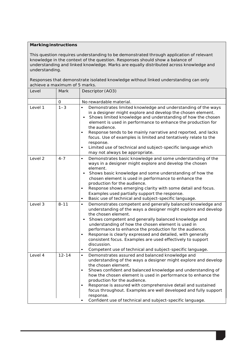#### **Marking instructions**

This question requires understanding to be demonstrated through application of relevant knowledge in the context of the question. Responses should show a balance of understanding and linked knowledge. Marks are equally distributed across knowledge and understanding.

Responses that demonstrate isolated knowledge without linked understanding can only achieve a maximum of 5 marks.

| Level   | Mark      | Descriptor (AO3)                                                                                                                                                                                                                                                                                                                                                                                                                                                                                                                                                             |
|---------|-----------|------------------------------------------------------------------------------------------------------------------------------------------------------------------------------------------------------------------------------------------------------------------------------------------------------------------------------------------------------------------------------------------------------------------------------------------------------------------------------------------------------------------------------------------------------------------------------|
|         | 0         | No rewardable material.                                                                                                                                                                                                                                                                                                                                                                                                                                                                                                                                                      |
| Level 1 | $1 - 3$   | Demonstrates limited knowledge and understanding of the ways<br>$\bullet$<br>in a designer might explore and develop the chosen element.<br>Shows limited knowledge and understanding of how the chosen<br>element is used in performance to enhance the production for<br>the audience.<br>Response tends to be mainly narrative and reported, and lacks<br>$\bullet$<br>focus. Use of examples is limited and tentatively relate to the<br>response.<br>Limited use of technical and subject-specific language which<br>$\bullet$<br>may not always be appropriate.        |
| Level 2 | $4 - 7$   | Demonstrates basic knowledge and some understanding of the<br>$\bullet$<br>ways in a designer might explore and develop the chosen<br>element.<br>Shows basic knowledge and some understanding of how the<br>chosen element is used in performance to enhance the<br>production for the audience.<br>Response shows emerging clarity with some detail and focus.<br>Examples used partially support the response.<br>Basic use of technical and subject-specific language.<br>$\bullet$                                                                                      |
| Level 3 | $8 - 11$  | Demonstrates competent and generally balanced knowledge and<br>$\bullet$<br>understanding of the ways a designer might explore and develop<br>the chosen element.<br>Shows competent and generally balanced knowledge and<br>understanding of how the chosen element is used in<br>performance to enhance the production for the audience.<br>Response is clearly expressed and detailed, with generally<br>$\bullet$<br>consistent focus. Examples are used effectively to support<br>discussion.<br>Competent use of technical and subject-specific language.<br>$\bullet$ |
| Level 4 | $12 - 14$ | Demonstrates assured and balanced knowledge and<br>$\bullet$<br>understanding of the ways a designer might explore and develop<br>the chosen element.<br>Shows confident and balanced knowledge and understanding of<br>how the chosen element is used in performance to enhance the<br>production for the audience.<br>Response is assured with comprehensive detail and sustained<br>focus throughout. Examples are well developed and fully support<br>response.<br>Confident use of technical and subject-specific language.                                             |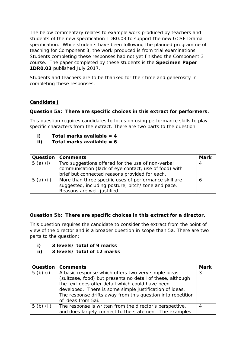The below commentary relates to example work produced by teachers and students of the new specification 1DR0.03 to support the new GCSE Drama specification. While students have been following the planned programme of teaching for Component 3, the work produced is from trial examinations. Students completing these responses had not yet finished the Component 3 course. The paper completed by these students is the **Specimen Paper 1DR0.03** published July 2017.

Students and teachers are to be thanked for their time and generosity in completing these responses.

#### **Candidate J**

#### **Question 5a: There are specific choices in this extract for performers.**

*This question requires candidates to focus on using performance skills to play specific characters from the extract. There are two parts to the question:*

- **i) Total marks available = 4**
- **ii) Total marks available = 6**

|              | <b>Question   Comments</b>                             | Mark |
|--------------|--------------------------------------------------------|------|
| $5$ (a) (i)  | Two suggestions offered for the use of non-verbal      | 4    |
|              | communication (lack of eye contact, use of food) with  |      |
|              | brief but connected reasons provided for each.         |      |
| $5$ (a) (ii) | More than three specific uses of performance skill are | 6    |
|              | suggested, including posture, pitch/ tone and pace.    |      |
|              | Reasons are well-justified.                            |      |

#### **Question 5b: There are specific choices in this extract for a director.**

*This question requires the candidate to consider the extract from the point of view of the director and is a broader question in scope than 5a. There are two parts to the question:*

- **i) 3 levels/ total of 9 marks**
- **ii) 3 levels/ total of 12 marks**

| Question      | <b>Comments</b>                                             | <b>Mark</b> |
|---------------|-------------------------------------------------------------|-------------|
| 5 $(b)$ $(i)$ | A basic response which offers two very simple ideas         | 3           |
|               | (suitcase, food) but presents no detail of these, although  |             |
|               | the text does offer detail which could have been            |             |
|               | developed. There is some simple justification of ideas.     |             |
|               | The response drifts away from this question into repetition |             |
|               | of ideas from 5ai.                                          |             |
| $5$ (b) (ii)  | The response is written from the director's perspective,    | 4           |
|               | and does largely connect to the statement. The examples     |             |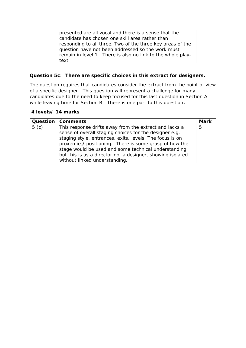| presented are all vocal and there is a sense that the       |  |
|-------------------------------------------------------------|--|
| candidate has chosen one skill area rather than             |  |
| responding to all three. Two of the three key areas of the  |  |
| question have not been addressed so the work must           |  |
| remain in level 1. There is also no link to the whole play- |  |
| text.                                                       |  |

#### **Question 5c**: **There are specific choices in this extract for designers.**

*The question requires that candidates consider the extract from the point of view of a specific designer. This question will represent a challenge for many candidates due to the need to keep focused for this last question in Section A while leaving time for Section B. There is one part to this question***.**

#### **4 levels/ 14 marks**

|                  | <b>Question   Comments</b>                                 | <b>Mark</b> |
|------------------|------------------------------------------------------------|-------------|
| 5 <sub>(c)</sub> | This response drifts away from the extract and lacks a     | 5           |
|                  | sense of overall staging choices for the designer e.g.     |             |
|                  | staging style, entrances, exits, levels. The focus is on   |             |
|                  | proxemics/ positioning. There is some grasp of how the     |             |
|                  | stage would be used and some technical understanding       |             |
|                  | but this is as a director not a designer, showing isolated |             |
|                  | without linked understanding.                              |             |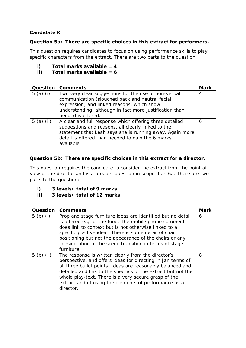#### **Candidate K**

#### **Question 5a: There are specific choices in this extract for performers.**

*This question requires candidates to focus on using performance skills to play specific characters from the extract. There are two parts to the question:*

- **i) Total marks available = 4**
- **ii) Total marks available = 6**

| Question     | <b>Comments</b>                                                                                                                                                                                                                              | <b>Mark</b> |
|--------------|----------------------------------------------------------------------------------------------------------------------------------------------------------------------------------------------------------------------------------------------|-------------|
| $5$ (a) (i)  | Two very clear suggestions for the use of non-verbal<br>communication (slouched back and neutral facial<br>expression) and linked reasons, which show<br>understanding, although in fact more justification than<br>needed is offered.       | 4           |
| 5 $(a)$ (ii) | A clear and full response which offering three detailed<br>suggestions and reasons, all clearly linked to the<br>statement that Leah says she is running away. Again more<br>detail is offered than needed to gain the 6 marks<br>available. | 6           |

#### **Question 5b: There are specific choices in this extract for a director.**

*This question requires the candidate to consider the extract from the point of view of the director and is a broader question in scope than 6a. There are two parts to the question:*

- **i) 3 levels/ total of 9 marks**
- **ii) 3 levels/ total of 12 marks**

| Question      | <b>Comments</b>                                                                                                                                                                                                                                                                                                                                                                 | <b>Mark</b> |
|---------------|---------------------------------------------------------------------------------------------------------------------------------------------------------------------------------------------------------------------------------------------------------------------------------------------------------------------------------------------------------------------------------|-------------|
| 5 $(b)$ $(i)$ | Prop and stage furniture ideas are identified but no detail<br>is offered e.g. of the food. The mobile phone comment<br>does link to context but is not otherwise linked to a<br>specific positive idea. There is some detail of chair<br>positioning but not the appearance of the chairs or any<br>consideration of the scene transition in terms of stage<br>furniture.      | 6           |
| $5$ (b) (ii)  | The response is written clearly from the director's<br>perspective, and offers ideas for directing in Jan terms of<br>all three bullet points. Ideas are reasonably balanced and<br>detailed and link to the specifics of the extract but not the<br>whole play-text. There is a very secure grasp of the<br>extract and of using the elements of performance as a<br>director. | 8           |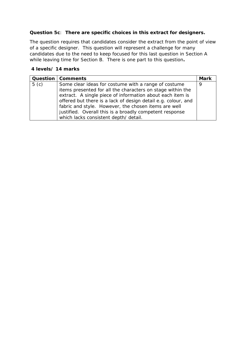#### **Question 5c**: **There are specific choices in this extract for designers.**

*The question requires that candidates consider the extract from the point of view of a specific designer. This question will represent a challenge for many candidates due to the need to keep focused for this last question in Section A while leaving time for Section B. There is one part to this question***.**

#### **4 levels/ 14 marks**

|                  | <b>Question   Comments</b>                                                                                                                                                                                                                                                                                                                                          | <b>Mark</b> |
|------------------|---------------------------------------------------------------------------------------------------------------------------------------------------------------------------------------------------------------------------------------------------------------------------------------------------------------------------------------------------------------------|-------------|
| 5 <sub>(c)</sub> | Some clear ideas for costume with a range of costume<br>items presented for all the characters on stage within the<br>extract. A single piece of information about each item is<br>offered but there is a lack of design detail e.g. colour, and<br>fabric and style. However, the chosen items are well<br>justified. Overall this is a broadly competent response | 9           |
|                  | which lacks consistent depth/ detail.                                                                                                                                                                                                                                                                                                                               |             |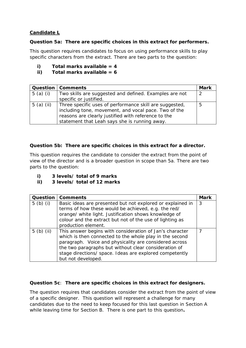#### **Candidate L**

#### **Question 5a: There are specific choices in this extract for performers.**

*This question requires candidates to focus on using performance skills to play specific characters from the extract. There are two parts to the question:*

- **i) Total marks available = 4**
- **ii) Total marks available = 6**

|              | <b>Question   Comments</b>                                                                                                                                                                                              | <b>Mark</b> |
|--------------|-------------------------------------------------------------------------------------------------------------------------------------------------------------------------------------------------------------------------|-------------|
| $5$ (a) (i)  | Two skills are suggested and defined. Examples are not                                                                                                                                                                  | -2          |
|              | specific or justified.                                                                                                                                                                                                  |             |
| $5$ (a) (ii) | Three specific uses of performance skill are suggested,<br>including tone, movement, and vocal pace. Two of the<br>reasons are clearly justified with reference to the<br>statement that Leah says she is running away. | 5           |

#### **Question 5b: There are specific choices in this extract for a director.**

*This question requires the candidate to consider the extract from the point of view of the director and is a broader question in scope than 5a. There are two parts to the question:*

- **i) 3 levels/ total of 9 marks**
- **ii) 3 levels/ total of 12 marks**

|              | <b>Question   Comments</b>                                 | <b>Mark</b> |
|--------------|------------------------------------------------------------|-------------|
| $5$ (b) (i)  | Basic ideas are presented but not explored or explained in | 3           |
|              | terms of how these would be achieved, e.g. the red/        |             |
|              | orange/ white light. Justification shows knowledge of      |             |
|              | colour and the extract but not of the use of lighting as   |             |
|              | production element.                                        |             |
| $5$ (b) (ii) | This answer begins with consideration of Jan's character   | 7           |
|              | which is then connected to the whole play in the second    |             |
|              | paragraph. Voice and physicality are considered across     |             |
|              | the two paragraphs but without clear consideration of      |             |
|              | stage directions/ space. Ideas are explored competently    |             |
|              | but not developed.                                         |             |

#### **Question 5c**: **There are specific choices in this extract for designers.**

*The question requires that candidates consider the extract from the point of view of a specific designer. This question will represent a challenge for many candidates due to the need to keep focused for this last question in Section A while leaving time for Section B. There is one part to this question***.**